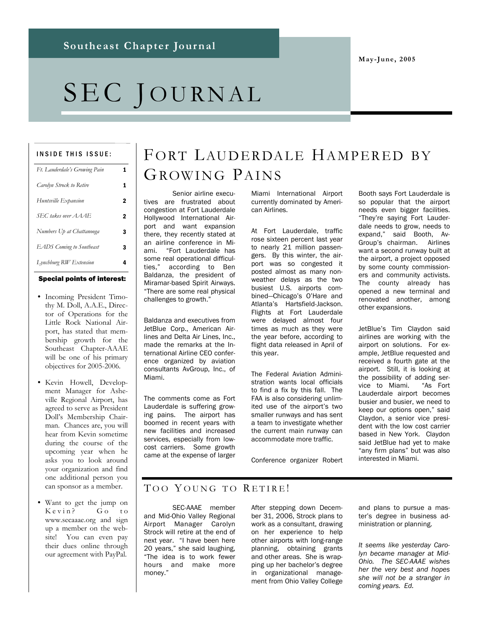**May-June, 2005** 

# SEC JOURNAL

#### INSIDE THIS ISSUE:

| Ft. Lauderdale's Growing Pain   | 1 |
|---------------------------------|---|
| Carolyn Strock to Retire        | 1 |
| Huntsville Expansion            | 2 |
| SEC takes over AAAE             | 2 |
| Numbers Up at Chattanooga       | 3 |
| <b>EADS</b> Coming to Southeast | 3 |
| Lynchburg RW Extension          | 4 |
|                                 |   |

#### Special points of interest:

- Incoming President Timothy M. Doll, A.A.E., Director of Operations for the Little Rock National Airport, has stated that membership growth for the Southeast Chapter-AAAE will be one of his primary objectives for 2005-2006.
- Kevin Howell, Development Manager for Asheville Regional Airport, has agreed to serve as President Doll's Membership Chairman. Chances are, you will hear from Kevin sometime during the course of the upcoming year when he asks you to look around your organization and find one additional person you can sponsor as a member.
- Want to get the jump on Kevin? Go to www.secaaae.org and sign up a member on the website! You can even pay their dues online through our agreement with PayPal.

# FORT LAUDERDALE HAMPERED BY GROWING PAINS

 Senior airline executives are frustrated about congestion at Fort Lauderdale Hollywood International Airport and want expansion there, they recently stated at an airline conference in Miami. "Fort Lauderdale has some real operational difficulties," according to Ben Baldanza, the president of Miramar-based Spirit Airways. "There are some real physical challenges to growth."

Baldanza and executives from JetBlue Corp., American Airlines and Delta Air Lines, Inc., made the remarks at the International Airline CEO conference organized by aviation consultants AvGroup, Inc., of Miami.

The comments come as Fort Lauderdale is suffering growing pains. The airport has boomed in recent years with new facilities and increased services, especially from lowcost carriers. Some growth came at the expense of larger Miami International Airport currently dominated by American Airlines.

At Fort Lauderdale, traffic rose sixteen percent last year to nearly 21 million passengers. By this winter, the airport was so congested it posted almost as many nonweather delays as the two busiest U.S. airports combined—Chicago's O'Hare and Atlanta's Hartsfield-Jackson. Flights at Fort Lauderdale were delayed almost four times as much as they were the year before, according to flight data released in April of this year.

The Federal Aviation Administration wants local officials to find a fix by this fall. The FAA is also considering unlimited use of the airport's two smaller runways and has sent a team to investigate whether the current main runway can accommodate more traffic.

Conference organizer Robert

Booth says Fort Lauderdale is so popular that the airport needs even bigger facilities. "They're saying Fort Lauderdale needs to grow, needs to expand," said Booth, Av-Group's chairman. Airlines want a second runway built at the airport, a project opposed by some county commissioners and community activists. The county already has opened a new terminal and renovated another, among other expansions.

JetBlue's Tim Claydon said airlines are working with the airport on solutions. For example, JetBlue requested and received a fourth gate at the airport. Still, it is looking at the possibility of adding service to Miami. "As Fort Lauderdale airport becomes busier and busier, we need to keep our options open," said Claydon, a senior vice president with the low cost carrier based in New York. Claydon said JetBlue had yet to make "any firm plans" but was also interested in Miami.

#### TOO YOUNG TO RETIRE!

 SEC-AAAE member and Mid-Ohio Valley Regional Airport Manager Carolyn Strock will retire at the end of next year. "I have been here 20 years," she said laughing, "The idea is to work fewer hours and make more money."

After stepping down December 31, 2006, Strock plans to work as a consultant, drawing on her experience to help other airports with long-range planning, obtaining grants and other areas. She is wrapping up her bachelor's degree in organizational management from Ohio Valley College and plans to pursue a master's degree in business administration or planning.

*It seems like yesterday Carolyn became manager at Mid-Ohio. The SEC-AAAE wishes her the very best and hopes she will not be a stranger in coming years. Ed.*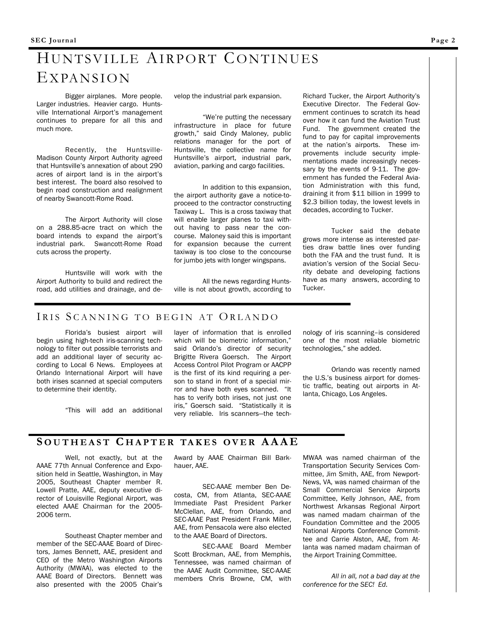# HUNTSVILLE AIRPORT CONTINUES EXPANSION

 Bigger airplanes. More people. Larger industries. Heavier cargo. Huntsville International Airport's management continues to prepare for all this and much more.

 Recently, the Huntsville-Madison County Airport Authority agreed that Huntsville's annexation of about 290 acres of airport land is in the airport's best interest. The board also resolved to begin road construction and realignment of nearby Swancott-Rome Road.

 The Airport Authority will close on a 288.85-acre tract on which the board intends to expand the airport's industrial park. Swancott-Rome Road cuts across the property.

 Huntsville will work with the Airport Authority to build and redirect the road, add utilities and drainage, and develop the industrial park expansion.

 "We're putting the necessary infrastructure in place for future growth," said Cindy Maloney, public relations manager for the port of Huntsville, the collective name for Huntsville's airport, industrial park, aviation, parking and cargo facilities.

 In addition to this expansion, the airport authority gave a notice-toproceed to the contractor constructing Taxiway L. This is a cross taxiway that will enable larger planes to taxi without having to pass near the concourse. Maloney said this is important for expansion because the current taxiway is too close to the concourse for jumbo jets with longer wingspans.

 All the news regarding Huntsville is not about growth, according to

Richard Tucker, the Airport Authority's Executive Director. The Federal Government continues to scratch its head over how it can fund the Aviation Trust Fund. The government created the fund to pay for capital improvements at the nation's airports. These improvements include security implementations made increasingly necessary by the events of 9-11. The government has funded the Federal Aviation Administration with this fund, draining it from \$11 billion in 1999 to \$2.3 billion today, the lowest levels in decades, according to Tucker.

 Tucker said the debate grows more intense as interested parties draw battle lines over funding both the FAA and the trust fund. It is aviation's version of the Social Security debate and developing factions have as many answers, according to Tucker.

#### IRIS SCANNING TO BEGIN AT ORLANDO

 Florida's busiest airport will begin using high-tech iris-scanning technology to filter out possible terrorists and add an additional layer of security according to Local 6 News. Employees at Orlando International Airport will have both irises scanned at special computers to determine their identity.

"This will add an additional

layer of information that is enrolled which will be biometric information." said Orlando's director of security Brigitte Rivera Goersch. The Airport Access Control Pilot Program or AACPP is the first of its kind requiring a person to stand in front of a special mirror and have both eyes scanned. "It has to verify both irises, not just one iris," Goersch said. "Statistically it is very reliable. Iris scanners—the tech-

nology of iris scanning–is considered one of the most reliable biometric technologies," she added.

 Orlando was recently named the U.S.'s business airport for domestic traffic, beating out airports in Atlanta, Chicago, Los Angeles.

#### **S OUTHEAST C HAPTER TAKES OVER AAAE**

 Well, not exactly, but at the AAAE 77th Annual Conference and Exposition held in Seattle, Washington, in May 2005, Southeast Chapter member R. Lowell Pratte, AAE, deputy executive director of Louisville Regional Airport, was elected AAAE Chairman for the 2005- 2006 term.

 Southeast Chapter member and member of the SEC-AAAE Board of Directors, James Bennett, AAE, president and CEO of the Metro Washington Airports Authority (MWAA), was elected to the AAAE Board of Directors. Bennett was also presented with the 2005 Chair's

Award by AAAE Chairman Bill Barkhauer, AAE.

 SEC-AAAE member Ben Decosta, CM, from Atlanta, SEC-AAAE Immediate Past President Parker McClellan, AAE, from Orlando, and SEC-AAAE Past President Frank Miller, AAE, from Pensacola were also elected to the AAAE Board of Directors.

 SEC-AAAE Board Member Scott Brockman, AAE, from Memphis, Tennessee, was named chairman of the AAAE Audit Committee, SEC-AAAE members Chris Browne, CM, with

MWAA was named chairman of the Transportation Security Services Committee, Jim Smith, AAE, from Newport-News, VA, was named chairman of the Small Commercial Service Airports Committee, Kelly Johnson, AAE, from Northwest Arkansas Regional Airport was named madam chairman of the Foundation Committee and the 2005 National Airports Conference Committee and Carrie Alston, AAE, from Atlanta was named madam chairman of the Airport Training Committee.

*All in all, not a bad day at the conference for the SEC! Ed.*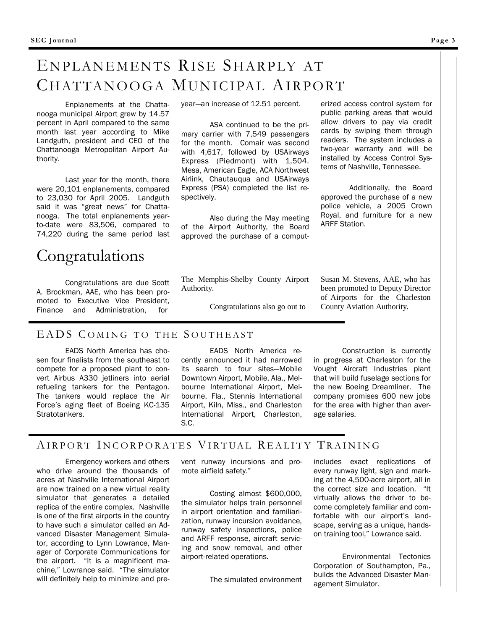# ENPLANEMENTS RISE SHARPLY AT CHATTANOOGA MUNICIPAL AIRPORT

Enplanements at the Chattanooga municipal Airport grew by 14.57 percent in April compared to the same month last year according to Mike Landguth, president and CEO of the Chattanooga Metropolitan Airport Authority.

 Last year for the month, there were 20,101 enplanements, compared to 23,030 for April 2005. Landguth said it was "great news" for Chattanooga. The total enplanements yearto-date were 83,506, compared to 74,220 during the same period last

## Congratulations

Congratulations are due Scott A. Brockman, AAE, who has been promoted to Executive Vice President, Finance and Administration, for

year—an increase of 12.51 percent.

 ASA continued to be the primary carrier with 7,549 passengers for the month. Comair was second with 4,617, followed by USAirways Express (Piedmont) with 1,504. Mesa, American Eagle, ACA Northwest Airlink, Chautauqua and USAirways Express (PSA) completed the list respectively.

 Also during the May meeting of the Airport Authority, the Board approved the purchase of a comput-

The Memphis-Shelby County Airport Authority.

Congratulations also go out to

erized access control system for public parking areas that would allow drivers to pay via credit cards by swiping them through readers. The system includes a two-year warranty and will be installed by Access Control Systems of Nashville, Tennessee.

 Additionally, the Board approved the purchase of a new police vehicle, a 2005 Crown Royal, and furniture for a new ARFF Station.

Susan M. Stevens, AAE, who has been promoted to Deputy Director of Airports for the Charleston County Aviation Authority.

### EADS COMING TO THE SOUTHEAST

 EADS North America has chosen four finalists from the southeast to compete for a proposed plant to convert Airbus A330 jetliners into aerial refueling tankers for the Pentagon. The tankers would replace the Air Force's aging fleet of Boeing KC-135 Stratotankers.

 EADS North America recently announced it had narrowed its search to four sites—Mobile Downtown Airport, Mobile, Ala., Melbourne International Airport, Melbourne, Fla., Stennis International Airport, Kiln, Miss., and Charleston International Airport, Charleston, S.C.

 Construction is currently in progress at Charleston for the Vought Aircraft Industries plant that will build fuselage sections for the new Boeing Dreamliner. The company promises 600 new jobs for the area with higher than average salaries.

### AIRPORT INCORPORATES VIRTUAL REALITY TRAINING

 Emergency workers and others who drive around the thousands of acres at Nashville International Airport are now trained on a new virtual reality simulator that generates a detailed replica of the entire complex. Nashville is one of the first airports in the country to have such a simulator called an Advanced Disaster Management Simulator, according to Lynn Lowrance, Manager of Corporate Communications for the airport. "It is a magnificent machine," Lowrance said. "The simulator will definitely help to minimize and prevent runway incursions and promote airfield safety."

 Costing almost \$600,000, the simulator helps train personnel in airport orientation and familiarization, runway incursion avoidance, runway safety inspections, police and ARFF response, aircraft servicing and snow removal, and other airport-related operations.

The simulated environment

includes exact replications of every runway light, sign and marking at the 4,500-acre airport, all in the correct size and location. "It virtually allows the driver to become completely familiar and comfortable with our airport's landscape, serving as a unique, handson training tool," Lowrance said.

 Environmental Tectonics Corporation of Southampton, Pa., builds the Advanced Disaster Management Simulator.